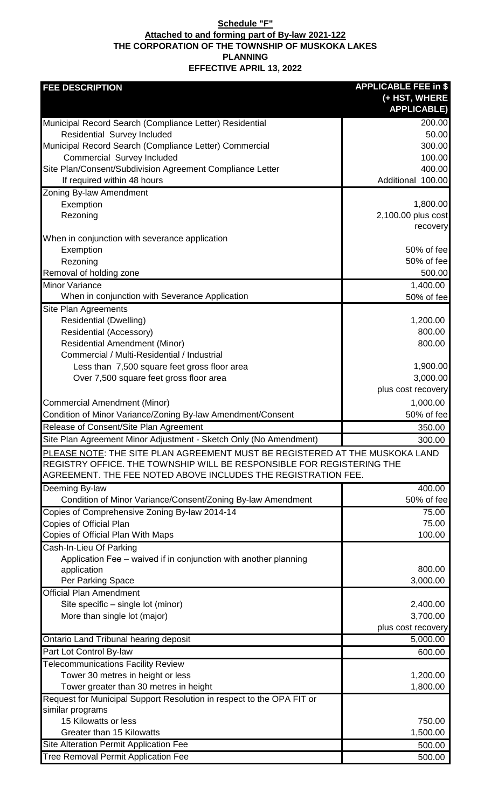## **Schedule "F" Attached to and forming part of By-law 2021-122 THE CORPORATION OF THE TOWNSHIP OF MUSKOKA LAKES PLANNING EFFECTIVE APRIL 13, 2022**

| <b>FEE DESCRIPTION</b>                                                               | <b>APPLICABLE FEE in \$</b>    |
|--------------------------------------------------------------------------------------|--------------------------------|
|                                                                                      | (+ HST, WHERE                  |
|                                                                                      | <b>APPLICABLE)</b>             |
| Municipal Record Search (Compliance Letter) Residential                              | 200.00                         |
| <b>Residential Survey Included</b>                                                   | 50.00                          |
| Municipal Record Search (Compliance Letter) Commercial                               | 300.00                         |
| Commercial Survey Included                                                           | 100.00                         |
| Site Plan/Consent/Subdivision Agreement Compliance Letter                            | 400.00                         |
| If required within 48 hours                                                          | Additional 100.00              |
| Zoning By-law Amendment                                                              |                                |
| Exemption                                                                            | 1,800.00<br>2,100.00 plus cost |
| Rezoning                                                                             | recovery                       |
| When in conjunction with severance application                                       |                                |
| Exemption                                                                            | 50% of fee                     |
| Rezoning                                                                             | 50% of fee                     |
| Removal of holding zone                                                              | 500.00                         |
| <b>Minor Variance</b>                                                                | 1,400.00                       |
| When in conjunction with Severance Application                                       | 50% of fee                     |
| Site Plan Agreements                                                                 |                                |
| <b>Residential (Dwelling)</b>                                                        | 1,200.00                       |
| Residential (Accessory)                                                              | 800.00                         |
| <b>Residential Amendment (Minor)</b>                                                 | 800.00                         |
| Commercial / Multi-Residential / Industrial                                          |                                |
| Less than 7,500 square feet gross floor area                                         | 1,900.00                       |
| Over 7,500 square feet gross floor area                                              | 3,000.00                       |
|                                                                                      | plus cost recovery             |
| <b>Commercial Amendment (Minor)</b>                                                  | 1,000.00                       |
| Condition of Minor Variance/Zoning By-law Amendment/Consent                          | 50% of fee                     |
| Release of Consent/Site Plan Agreement                                               | 350.00                         |
| Site Plan Agreement Minor Adjustment - Sketch Only (No Amendment)                    | 300.00                         |
| PLEASE NOTE: THE SITE PLAN AGREEMENT MUST BE REGISTERED AT THE MUSKOKA LAND          |                                |
| REGISTRY OFFICE. THE TOWNSHIP WILL BE RESPONSIBLE FOR REGISTERING THE                |                                |
| AGREEMENT. THE FEE NOTED ABOVE INCLUDES THE REGISTRATION FEE.                        |                                |
| Deeming By-law                                                                       | 400.00                         |
| Condition of Minor Variance/Consent/Zoning By-law Amendment                          | 50% of fee                     |
| Copies of Comprehensive Zoning By-law 2014-14                                        | 75.00                          |
| Copies of Official Plan                                                              | 75.00                          |
| Copies of Official Plan With Maps                                                    | 100.00                         |
| Cash-In-Lieu Of Parking                                                              |                                |
| Application Fee - waived if in conjunction with another planning                     |                                |
| application                                                                          | 800.00                         |
| Per Parking Space                                                                    | 3,000.00                       |
| <b>Official Plan Amendment</b>                                                       |                                |
| Site specific – single lot (minor)                                                   |                                |
|                                                                                      | 2,400.00                       |
| More than single lot (major)                                                         | 3,700.00                       |
|                                                                                      | plus cost recovery             |
| Ontario Land Tribunal hearing deposit                                                | 5,000.00                       |
| Part Lot Control By-law                                                              | 600.00                         |
| <b>Telecommunications Facility Review</b>                                            |                                |
| Tower 30 metres in height or less                                                    | 1,200.00                       |
| Tower greater than 30 metres in height                                               | 1,800.00                       |
| Request for Municipal Support Resolution in respect to the OPA FIT or                |                                |
| similar programs                                                                     |                                |
| 15 Kilowatts or less                                                                 | 750.00                         |
| <b>Greater than 15 Kilowatts</b>                                                     | 1,500.00                       |
| Site Alteration Permit Application Fee<br><b>Tree Removal Permit Application Fee</b> | 500.00<br>500.00               |